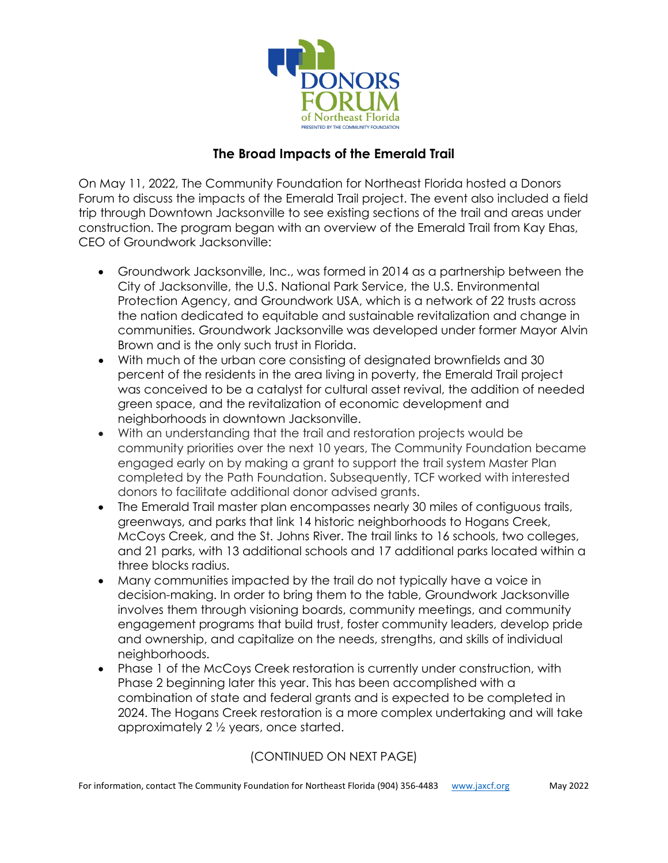

## **The Broad Impacts of the Emerald Trail**

On May 11, 2022, The Community Foundation for Northeast Florida hosted a Donors Forum to discuss the impacts of the Emerald Trail project. The event also included a field trip through Downtown Jacksonville to see existing sections of the trail and areas under construction. The program began with an overview of the Emerald Trail from Kay Ehas, CEO of Groundwork Jacksonville:

- Groundwork Jacksonville, Inc., was formed in 2014 as a partnership between the City of Jacksonville, the U.S. National Park Service, the U.S. Environmental Protection Agency, and Groundwork USA, which is a network of 22 trusts across the nation dedicated to equitable and sustainable revitalization and change in communities. Groundwork Jacksonville was developed under former Mayor Alvin Brown and is the only such trust in Florida.
- With much of the urban core consisting of designated brownfields and 30 percent of the residents in the area living in poverty, the Emerald Trail project was conceived to be a catalyst for cultural asset revival, the addition of needed green space, and the revitalization of economic development and neighborhoods in downtown Jacksonville.
- With an understanding that the trail and restoration projects would be community priorities over the next 10 years, The Community Foundation became engaged early on by making a grant to support the trail system Master Plan completed by the Path Foundation. Subsequently, TCF worked with interested donors to facilitate additional donor advised grants.
- The Emerald Trail master plan encompasses nearly 30 miles of contiguous trails, greenways, and parks that link 14 historic neighborhoods to Hogans Creek, McCoys Creek, and the St. Johns River. The trail links to 16 schools, two colleges, and 21 parks, with 13 additional schools and 17 additional parks located within a three blocks radius.
- Many communities impacted by the trail do not typically have a voice in decision-making. In order to bring them to the table, Groundwork Jacksonville involves them through visioning boards, community meetings, and community engagement programs that build trust, foster community leaders, develop pride and ownership, and capitalize on the needs, strengths, and skills of individual neighborhoods.
- Phase 1 of the McCoys Creek restoration is currently under construction, with Phase 2 beginning later this year. This has been accomplished with a combination of state and federal grants and is expected to be completed in 2024. The Hogans Creek restoration is a more complex undertaking and will take approximately 2 ½ years, once started.

### (CONTINUED ON NEXT PAGE)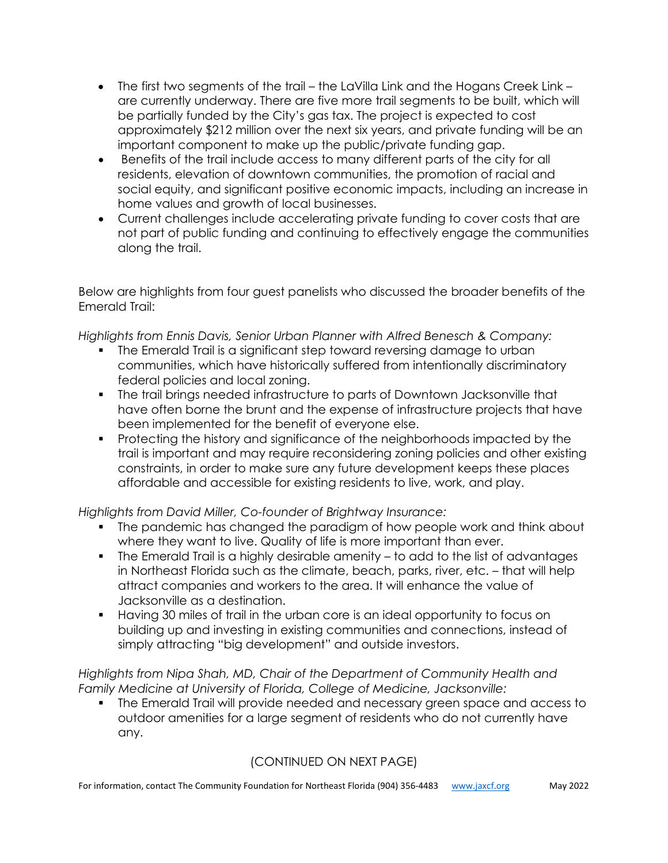- The first two segments of the trail the LaVilla Link and the Hogans Creek Link are currently underway. There are five more trail segments to be built, which will be partially funded by the City's gas tax. The project is expected to cost approximately \$212 million over the next six years, and private funding will be an important component to make up the public/private funding gap.
- Benefits of the trail include access to many different parts of the city for all residents, elevation of downtown communities, the promotion of racial and social equity, and significant positive economic impacts, including an increase in home values and growth of local businesses.
- Current challenges include accelerating private funding to cover costs that are not part of public funding and continuing to effectively engage the communities along the trail.

Below are highlights from four guest panelists who discussed the broader benefits of the Emerald Trail:

*Highlights from Ennis Davis, Senior Urban Planner with Alfred Benesch & Company:*

- The Emerald Trail is a significant step toward reversing damage to urban communities, which have historically suffered from intentionally discriminatory federal policies and local zoning.
- The trail brings needed infrastructure to parts of Downtown Jacksonville that have often borne the brunt and the expense of infrastructure projects that have been implemented for the benefit of everyone else.
- Protecting the history and significance of the neighborhoods impacted by the trail is important and may require reconsidering zoning policies and other existing constraints, in order to make sure any future development keeps these places affordable and accessible for existing residents to live, work, and play.

*Highlights from David Miller, Co-founder of Brightway Insurance:*

- The pandemic has changed the paradigm of how people work and think about where they want to live. Quality of life is more important than ever.
- The Emerald Trail is a highly desirable amenity to add to the list of advantages in Northeast Florida such as the climate, beach, parks, river, etc. – that will help attract companies and workers to the area. It will enhance the value of Jacksonville as a destination.
- Having 30 miles of trail in the urban core is an ideal opportunity to focus on building up and investing in existing communities and connections, instead of simply attracting "big development" and outside investors.

*Highlights from Nipa Shah, MD, Chair of the Department of Community Health and Family Medicine at University of Florida, College of Medicine, Jacksonville:*

 The Emerald Trail will provide needed and necessary green space and access to outdoor amenities for a large segment of residents who do not currently have any.

# (CONTINUED ON NEXT PAGE)

For information, contact The Community Foundation for Northeast Florida (904) 356-4483 [www.jaxcf.org](http://www.jaxcf.org/) May 2022